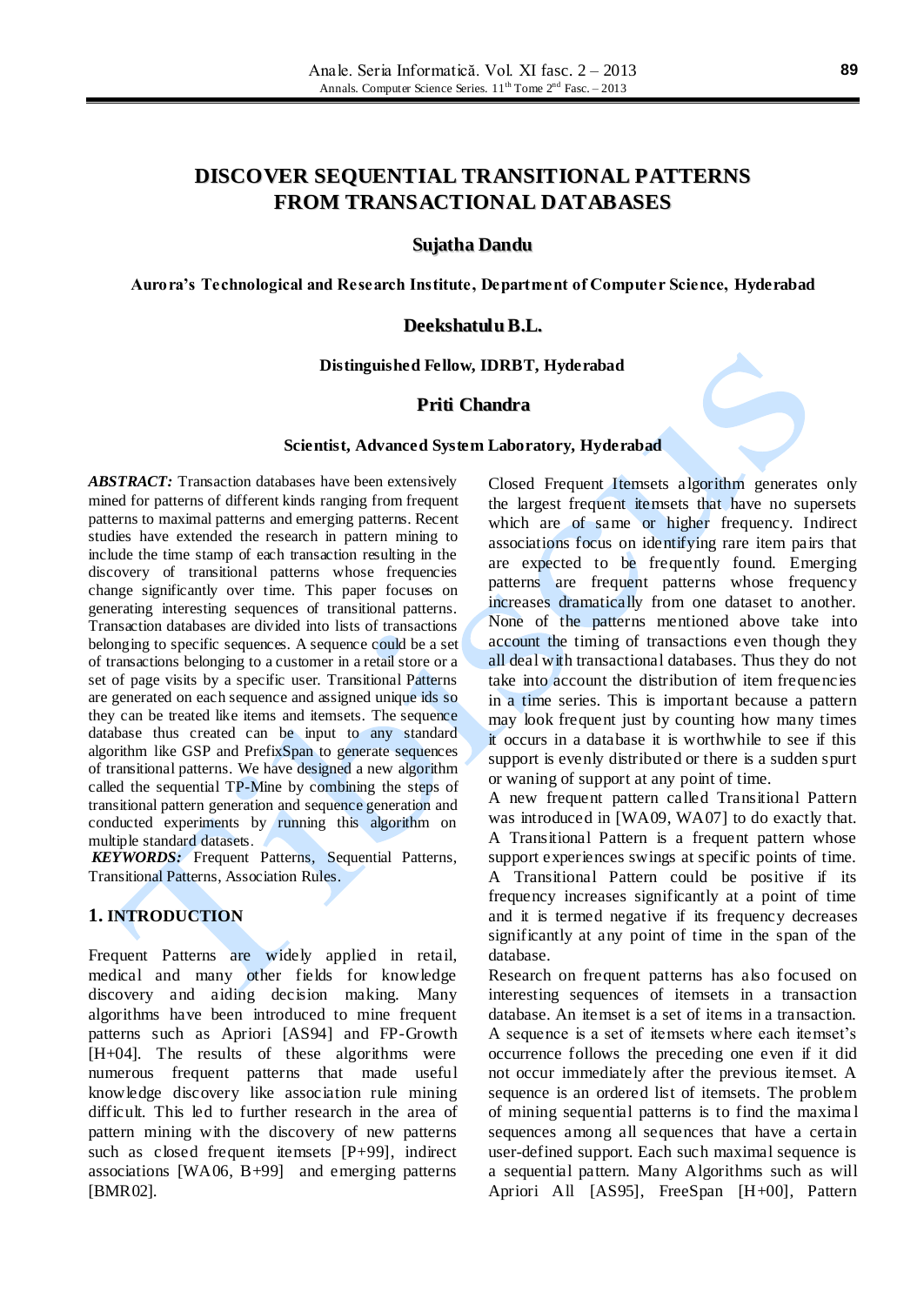# **DISCOVER SEQUENTIAL TRANSITIONAL PATTERNS FROM TRANSACTIONAL DATABASES**

## **Sujatha Dandu**

**Aurora's Technological and Research Institute, Department of Computer Science, Hyderabad**

### **DeekshatuluB.L.**

### **Distinguished Fellow, IDRBT, Hyderabad**

# **Priti Chandra**

### **Scientist, Advanced System Laboratory, Hyderabad**

*ABSTRACT:* Transaction databases have been extensively mined for patterns of different kinds ranging from frequent patterns to maximal patterns and emerging patterns. Recent studies have extended the research in pattern mining to include the time stamp of each transaction resulting in the discovery of transitional patterns whose frequencies change significantly over time. This paper focuses on generating interesting sequences of transitional patterns. Transaction databases are divided into lists of transactions belonging to specific sequences. A sequence could be a set of transactions belonging to a customer in a retail store or a set of page visits by a specific user. Transitional Patterns are generated on each sequence and assigned unique ids so they can be treated like items and itemsets. The sequence database thus created can be input to any standard algorithm like GSP and PrefixSpan to generate sequences of transitional patterns. We have designed a new algorithm called the sequential TP-Mine by combining the steps of transitional pattern generation and sequence generation and conducted experiments by running this algorithm on multiple standard datasets.

*KEYWORDS:* Frequent Patterns, Sequential Patterns, Transitional Patterns, Association Rules.

# **1. INTRODUCTION**

Frequent Patterns are widely applied in retail, medical and many other fields for knowledge discovery and aiding decision making. Many algorithms have been introduced to mine frequent patterns such as Apriori [AS94] and FP-Growth [H+04]. The results of these algorithms were numerous frequent patterns that made useful knowledge discovery like association rule mining difficult. This led to further research in the area of pattern mining with the discovery of new patterns such as closed frequent itemsets [P+99], indirect associations [WA06, B+99] and emerging patterns [BMR02].

Closed Frequent Itemsets a lgorithm generates only the largest frequent itemsets that have no supersets which are of same or higher frequency. Indirect associations focus on identifying rare item pairs that are expected to be frequently found. Emerging patterns are frequent patterns whose frequency increases dramatically from one dataset to another. None of the patterns mentioned above take into account the timing of transactions even though they all deal with transactional databases. Thus they do not take into account the distribution of item frequencies in a time series. This is important because a pattern may look frequent just by counting how many times it occurs in a database it is worthwhile to see if this support is evenly distributed or there is a sudden spurt or waning of support at any point of time.

A new frequent pattern called Transitional Pattern was introduced in [WA09, WA07] to do exactly that. A Transitional Pattern is a frequent pattern whose support experiences swings at specific points of time. A Transitional Pattern could be positive if its frequency increases significantly at a point of time and it is termed negative if its frequency decreases significantly at any point of time in the span of the database.

Research on frequent patterns has also focused on interesting sequences of itemsets in a transaction database. An itemset is a set of items in a transaction. A sequence is a set of itemsets where each itemset's occurrence follows the preceding one even if it did not occur immediately after the previous itemset. A sequence is an ordered list of itemsets. The problem of mining sequential patterns is to find the maxima l sequences among all sequences that have a certain user-defined support. Each such maximal sequence is a sequential pattern. Many Algorithms such as will Apriori All [AS95], FreeSpan [H+00], Pattern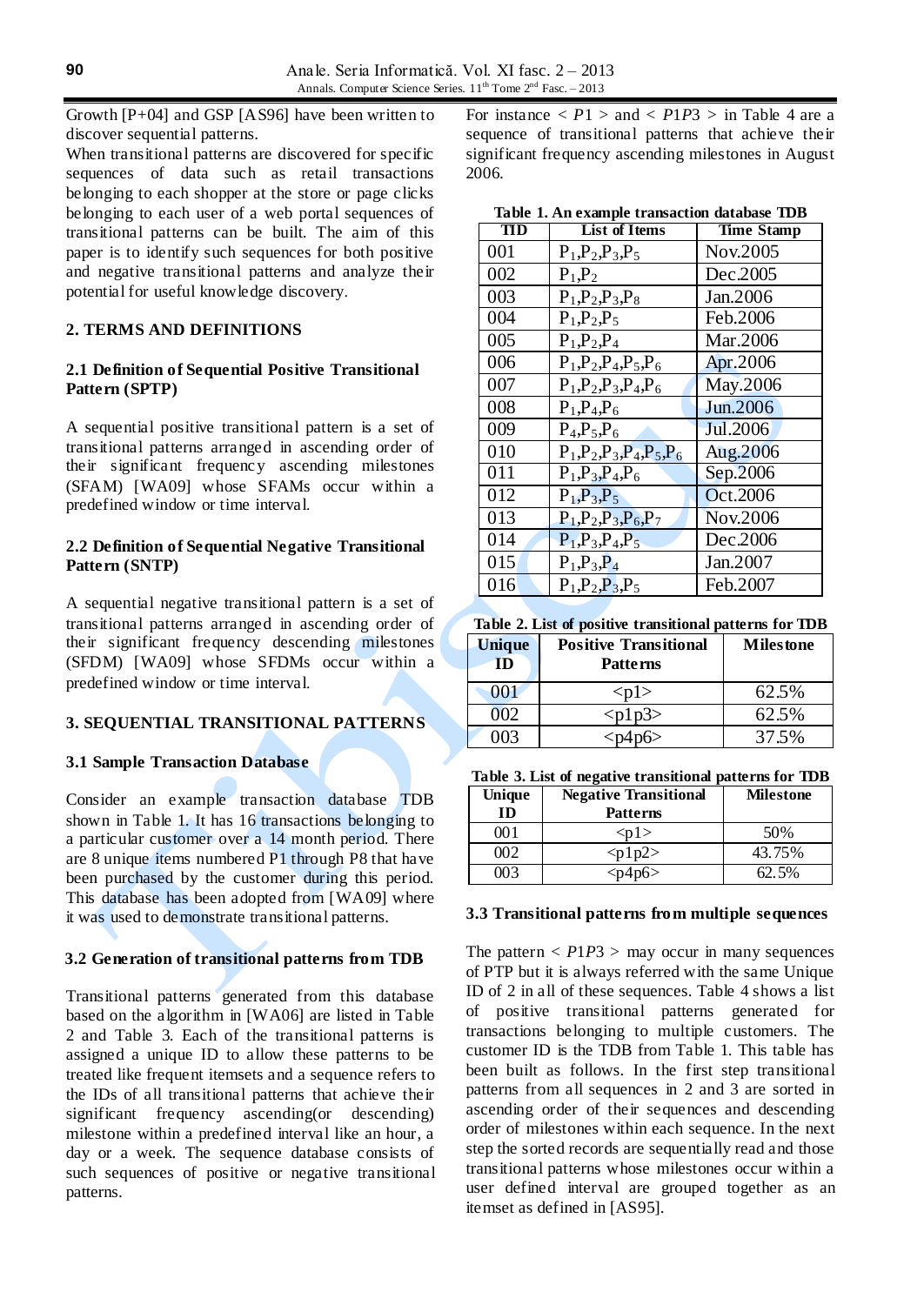Growth [P+04] and GSP [AS96] have been written to discover sequential patterns.

When transitional patterns are discovered for specific sequences of data such as retail transactions belonging to each shopper at the store or page clicks belonging to each user of a web portal sequences of transitional patterns can be built. The aim of this paper is to identify such sequences for both positive and negative transitional patterns and analyze their potential for useful knowledge discovery.

# **2. TERMS AND DEFINITIONS**

## **2.1 Definition of Sequential Positive Transitional Pattern (SPTP)**

A sequential positive transitional pattern is a set of transitional patterns arranged in ascending order of their significant frequency ascending milestones (SFAM) [WA09] whose SFAMs occur within a predefined window or time interval.

## **2.2 Definition of Sequential Negative Transitional Pattern (SNTP)**

A sequential negative transitional pattern is a set of transitional patterns arranged in ascending order of their significant frequency descending milestones (SFDM) [WA09] whose SFDMs occur within a predefined window or time interval.

# **3. SEQUENTIAL TRANSITIONAL PATTERNS**

### **3.1 Sample Transaction Database**

Consider an example transaction database TDB shown in Table 1. It has 16 transactions belonging to a particular customer over a 14 month period. There are 8 unique items numbered P1 through P8 that have been purchased by the customer during this period. This database has been adopted from [WA09] where it was used to demonstrate transitional patterns.

# **3.2 Generation of transitional patterns from TDB**

Transitional patterns generated from this database based on the algorithm in [WA06] are listed in Table 2 and Table 3. Each of the transitional patterns is assigned a unique ID to allow these patterns to be treated like frequent itemsets and a sequence refers to the IDs of all transitional patterns that achieve their significant frequency ascending(or descending) milestone within a predefined interval like an hour, a day or a week. The sequence database consists of such sequences of positive or negative transitional patterns.

For instance  $\langle P_1 \rangle$  and  $\langle P_1 \rangle$  *p* in Table 4 are a sequence of transitional patterns that achieve their significant frequency ascending milestones in August 2006.

**Table 1. An example transaction database TDB**

| <b>TID</b> | <b>List of Items</b>           | <b>Time Stamp</b> |
|------------|--------------------------------|-------------------|
| 001        | $P_1, P_2, P_3, P_5$           | Nov.2005          |
| 002        | $P_1$ , $P_2$                  | Dec.2005          |
| 003        | $P_1, P_2, P_3, P_8$           | Jan.2006          |
| 004        | $P_1$ , $P_2$ , $P_5$          | Feb.2006          |
| 005        | $P_1$ , $P_2$ , $P_4$          | Mar.2006          |
| 006        | $P_1, P_2, P_4, P_5, P_6$      | Apr.2006          |
| 007        | $P_1, P_2, P_3, P_4, P_6$      | May.2006          |
| 008        | $P_1$ , $P_4$ , $P_6$          | Jun.2006          |
| 009        | $P_4, P_5, P_6$                | Jul.2006          |
| 010        | $P_1, P_2, P_3, P_4, P_5, P_6$ | Aug.2006          |
| 011        | $P_1, P_3, P_4, P_6$           | Sep.2006          |
| 012        | $P_1$ , $P_3$ , $P_5$          | Oct.2006          |
| 013        | $P_1, P_2, P_3, P_6, P_7$      | Nov.2006          |
| 014        | $P_1, P_3, P_4, P_5$           | Dec.2006          |
| 015        | $P_1$ , $P_3$ , $P_4$          | Jan.2007          |
| 016        | $P_1, P_2, P_3, P_5$           | Feb.2007          |

**Table 2. List of positive transitional patterns for TDB**

| <b>Unique</b><br>ID | <b>Positive Transitional</b><br>Patterns | <b>Milestone</b> |
|---------------------|------------------------------------------|------------------|
|                     | $<$ pl $>$                               | 62.5%            |
| $\mathbf{y}$        | $<$ p1p3>                                | 62.5%            |
|                     |                                          | 37.5%            |

| Table 3. List of negative transitional patterns for TDB |  |  |  |  |  |
|---------------------------------------------------------|--|--|--|--|--|
|---------------------------------------------------------|--|--|--|--|--|

| Unique<br>ID | <b>Negative Transitional</b><br><b>Patterns</b> | <b>Milestone</b> |
|--------------|-------------------------------------------------|------------------|
| 70 T         | <pl></pl>                                       | 50%              |
| 002          | $<$ plp2>                                       | 43.75%           |
| 88 Y 3       | $<$ p4p6>                                       | 62.5%            |

#### **3.3 Transitional patterns from multiple sequences**

The pattern  $\langle P1P3 \rangle$  may occur in many sequences of PTP but it is always referred with the same Unique ID of 2 in all of these sequences. Table 4 shows a list of positive transitional patterns generated for transactions belonging to multiple customers. The customer ID is the TDB from Table 1. This table has been built as follows. In the first step transitional patterns from all sequences in 2 and 3 are sorted in ascending order of their sequences and descending order of milestones within each sequence. In the next step the sorted records are sequentially read and those transitional patterns whose milestones occur within a user defined interval are grouped together as an itemset as defined in [AS95].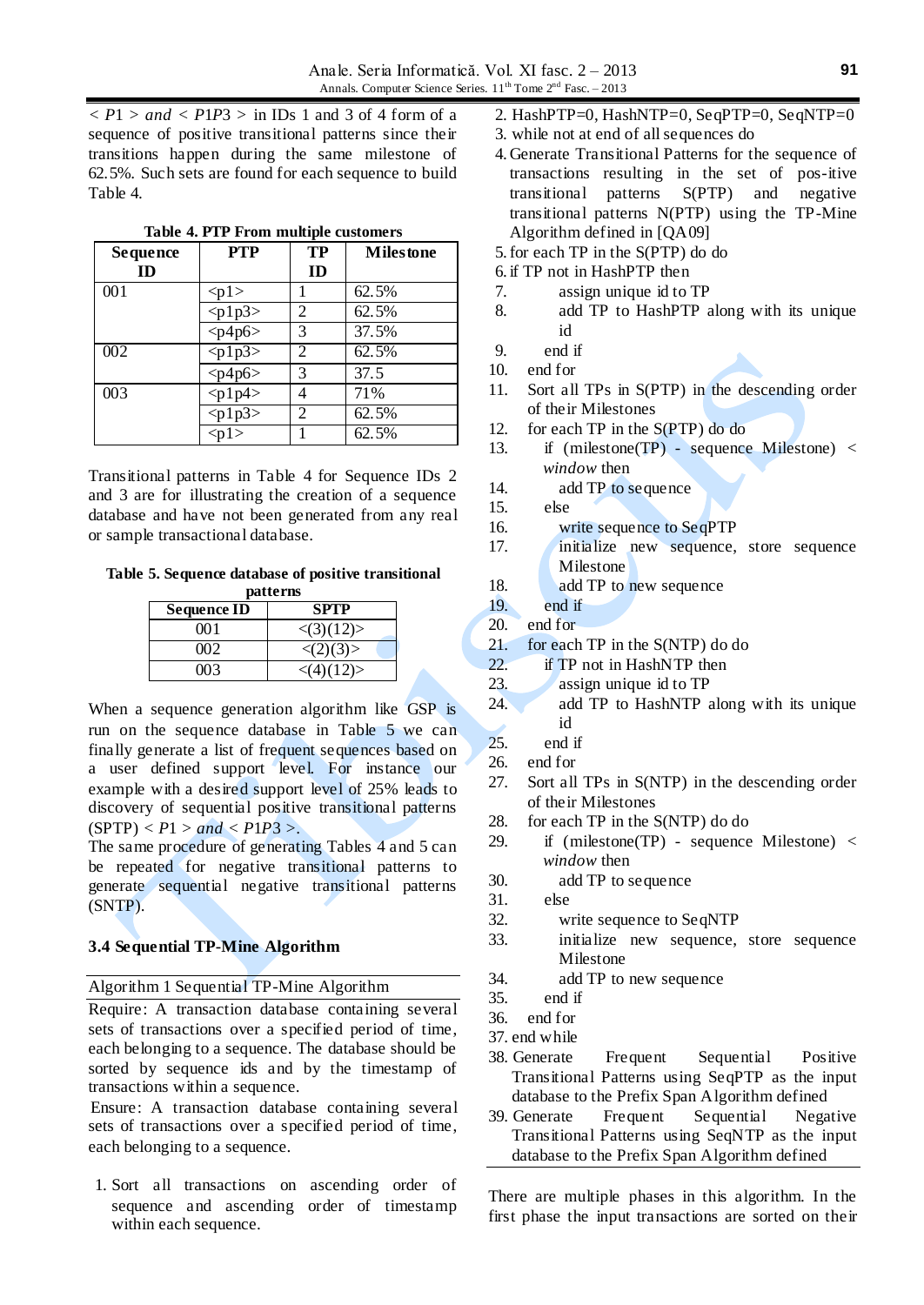*< P*1 *> and < P*1*P*3 *>* in IDs 1 and 3 of 4 form of a sequence of positive transitional patterns since their transitions happen during the same milestone of 62.5%. Such sets are found for each sequence to build Table 4.

| <b>Sequence</b><br>ID | <b>PTP</b>            | <b>TP</b><br>ID | <b>Milestone</b> |
|-----------------------|-----------------------|-----------------|------------------|
| 001                   | < p1>                 |                 | 62.5%            |
|                       | $<$ p1p3>             | 2               | 62.5%            |
|                       | $\langle p4p6\rangle$ | 3               | 37.5%            |
| 002                   | $\sqrt{p1p3}$         | $\overline{c}$  | 62.5%            |
|                       | $<$ p4p6>             | 3               | 37.5             |
| 003                   | $\langle p1p4\rangle$ |                 | 71%              |
|                       | $\sqrt{p1p3}$         | 2               | 62.5%            |
|                       | < p1>                 |                 | 62.5%            |

**Table 4. PTP From multiple customers**

Transitional patterns in Table 4 for Sequence IDs 2 and 3 are for illustrating the creation of a sequence database and have not been generated from any real or sample transactional database.

**Table 5. Sequence database of positive transitional patterns**

| <b>Sequence ID</b> | <b>SPTP</b>               |
|--------------------|---------------------------|
| 001                | $\langle (3)(12) \rangle$ |
| നാ                 | $\langle (2)(3) \rangle$  |
| 003                | $\langle (4)(12) \rangle$ |

When a sequence generation algorithm like GSP is run on the sequence database in Table 5 we can finally generate a list of frequent sequences based on a user defined support level. For instance our example with a desired support level of 25% leads to discovery of sequential positive transitional patterns  $(SPTP) < P1 > and < P1P3 >.$ 

The same procedure of generating Tables 4 and 5 can be repeated for negative transitional patterns to generate sequential negative transitional patterns (SNTP).

### **3.4 Sequential TP-Mine Algorithm**

Algorithm 1 Sequential TP-Mine Algorithm

Require: A transaction database containing several sets of transactions over a specified period of time, each belonging to a sequence. The database should be sorted by sequence ids and by the timestamp of transactions within a sequence.

Ensure: A transaction database containing several sets of transactions over a specified period of time, each belonging to a sequence.

1. Sort all transactions on ascending order of sequence and ascending order of timestamp within each sequence.

- 2. HashPTP=0, HashNTP=0, SeqPTP=0, SeqNTP=0
- 3. while not at end of all sequences do
- 4. Generate Transitional Patterns for the sequence of transactions resulting in the set of pos-itive transitional patterns S(PTP) and negative transitional patterns N(PTP) using the TP-Mine Algorithm defined in [QA09]
- 5.for each TP in the S(PTP) do do
- 6. if TP not in HashPTP then
- 7. assign unique id to TP
- 8. add TP to HashPTP along with its unique id
- 9. end if
- 10. end for
- 11. Sort all TPs in S(PTP) in the descending order of their Milestones
- 12. for each TP in the S(PTP) do do
- 13. if (milestone(TP) sequence Milestone) *< window* then
- 14. add TP to sequence
- 15. else
- 16. write sequence to SeqPTP
- 17. initialize new sequence, store sequence Milestone
- 18. add TP to new sequence
- 19. end if
- 20. end for
- 21. for each TP in the S(NTP) do do
- 22. **if TP** not in HashNTP then
- 23. assign unique id to TP
- 24. add TP to HashNTP along with its unique id
- 25. end if
- 26. end for
- 27. Sort all TPs in S(NTP) in the descending order of their Milestones
- 28. for each TP in the S(NTP) do do
- 29. if (milestone(TP) sequence Milestone) *< window* then
- 30. add TP to sequence
- 31. else
- 32. write sequence to SeqNTP
- 33. initialize new sequence, store sequence Milestone
- 34. add TP to new sequence
- 35. end if
- 36. end for
- 37. end while
- 38. Generate Frequent Sequential Positive Transitional Patterns using SeqPTP as the input database to the Prefix Span Algorithm defined
- 39. Generate Frequent Sequential Negative Transitional Patterns using SeqNTP as the input database to the Prefix Span Algorithm defined

There are multiple phases in this algorithm. In the first phase the input transactions are sorted on their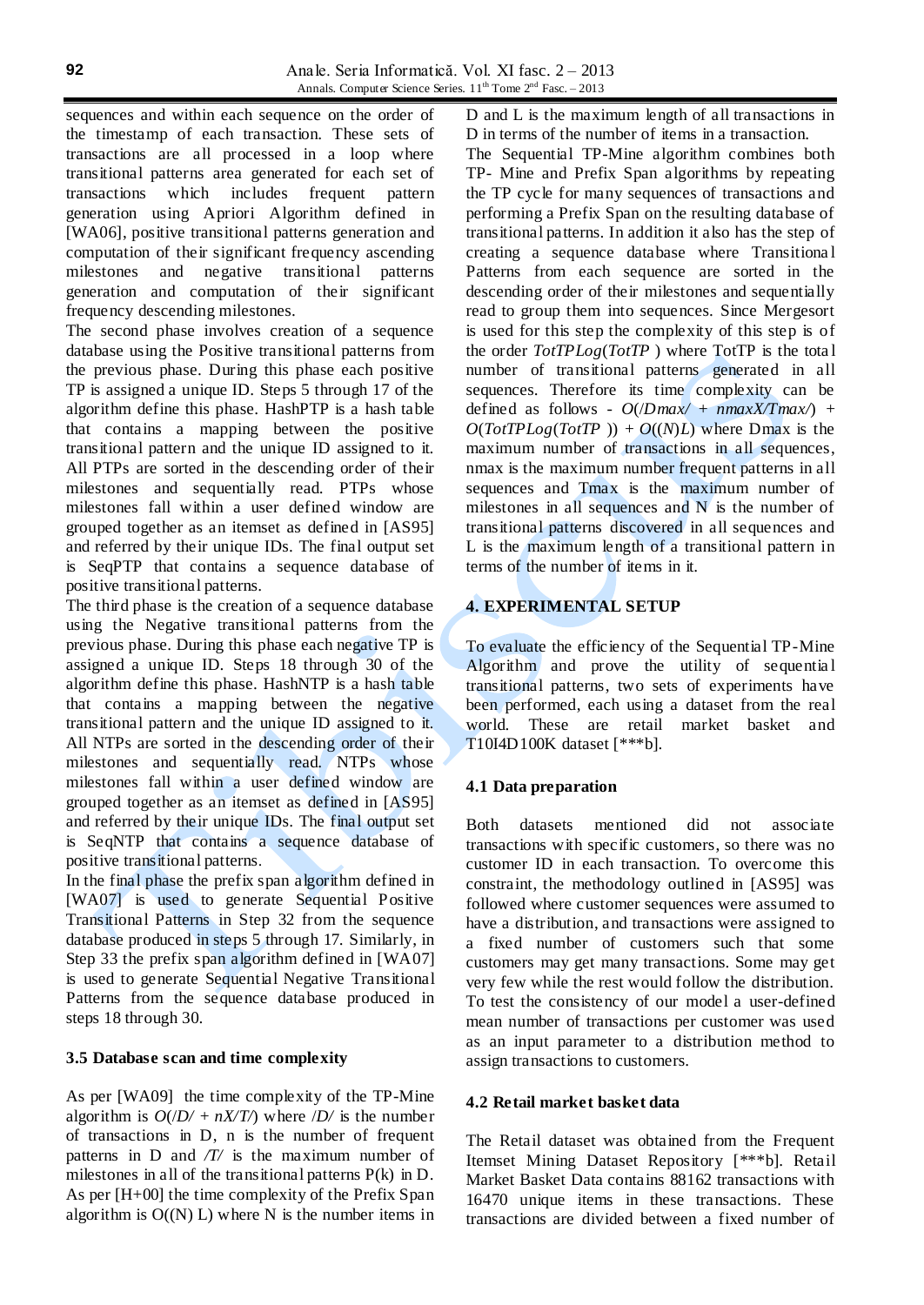sequences and within each sequence on the order of the timestamp of each transaction. These sets of transactions are all processed in a loop where transitional patterns area generated for each set of transactions which includes frequent pattern generation using Apriori Algorithm defined in [WA06], positive transitional patterns generation and computation of their significant frequency ascending milestones and negative transitional patterns generation and computation of their significant frequency descending milestones.

The second phase involves creation of a sequence database using the Positive transitional patterns from the previous phase. During this phase each positive TP is assigned a unique ID. Steps 5 through 17 of the algorithm define this phase. HashPTP is a hash table that contains a mapping between the positive transitional pattern and the unique ID assigned to it. All PTPs are sorted in the descending order of their milestones and sequentially read. PTPs whose milestones fall within a user defined window are grouped together as an itemset as defined in [AS95] and referred by their unique IDs. The final output set is SeqPTP that contains a sequence database of positive transitional patterns.

The third phase is the creation of a sequence database using the Negative transitional patterns from the previous phase. During this phase each negative TP is assigned a unique ID. Steps 18 through 30 of the algorithm define this phase. HashNTP is a hash table that contains a mapping between the negative transitional pattern and the unique ID assigned to it. All NTPs are sorted in the descending order of their milestones and sequentially read. NTPs whose milestones fall within a user defined window are grouped together as an itemset as defined in [AS95] and referred by their unique IDs. The final output set is SeqNTP that contains a sequence database of positive transitional patterns.

In the final phase the prefix span algorithm defined in [WA07] is used to generate Sequential Positive Transitional Patterns in Step 32 from the sequence database produced in steps 5 through 17. Similarly, in Step 33 the prefix span algorithm defined in [WA07] is used to generate Sequential Negative Transitional Patterns from the sequence database produced in steps 18 through 30.

# **3.5 Database scan and time complexity**

As per [WA09] the time complexity of the TP-Mine algorithm is  $O(|D| + nX/T)$  where  $|D|$  is the number of transactions in D, n is the number of frequent patterns in D and */T/* is the maximum number of milestones in all of the transitional patterns P(k) in D. As per [H+00] the time complexity of the Prefix Span algorithm is  $O(N)$  L) where N is the number items in D and L is the maximum length of all transactions in D in terms of the number of items in a transaction.

The Sequential TP-Mine algorithm combines both TP- Mine and Prefix Span algorithms by repeating the TP cycle for many sequences of transactions and performing a Prefix Span on the resulting database of transitional patterns. In addition it also has the step of creating a sequence database where Transitiona l Patterns from each sequence are sorted in the descending order of their milestones and sequentially read to group them into sequences. Since Mergesort is used for this step the complexity of this step is of the order *TotTPLog*(*TotTP* ) where TotTP is the tota l number of transitional patterns generated in all sequences. Therefore its time complexity can be defined as follows -  $O($ *Dmax* $/$  +  $nnmaxX/Imax$  $/$  +  $O(TotTPLog(TotTP)) + O((N)L)$  where Dmax is the maximum number of transactions in all sequences, nmax is the maximum number frequent patterns in all sequences and Tmax is the maximum number of milestones in all sequences and  $N$  is the number of transitional patterns discovered in all sequences and L is the maximum length of a transitional pattern in terms of the number of items in it.

# **4. EXPERIMENTAL SETUP**

To evaluate the efficiency of the Sequential TP-Mine Algorithm and prove the utility of sequential transitional patterns, two sets of experiments have been performed, each using a dataset from the real world. These are retail market basket and T10I4D100K dataset [\*\*\*b].

# **4.1 Data preparation**

Both datasets mentioned did not associate transactions with specific customers, so there was no customer ID in each transaction. To overcome this constraint, the methodology outlined in [AS95] was followed where customer sequences were assumed to have a distribution, and transactions were assigned to a fixed number of customers such that some customers may get many transactions. Some may get very few while the rest would follow the distribution. To test the consistency of our model a user-defined mean number of transactions per customer was used as an input parameter to a distribution method to assign transactions to customers.

### **4.2 Retail market basket data**

The Retail dataset was obtained from the Frequent Itemset Mining Dataset Repository [\*\*\*b]. Retail Market Basket Data contains 88162 transactions with 16470 unique items in these transactions. These transactions are divided between a fixed number of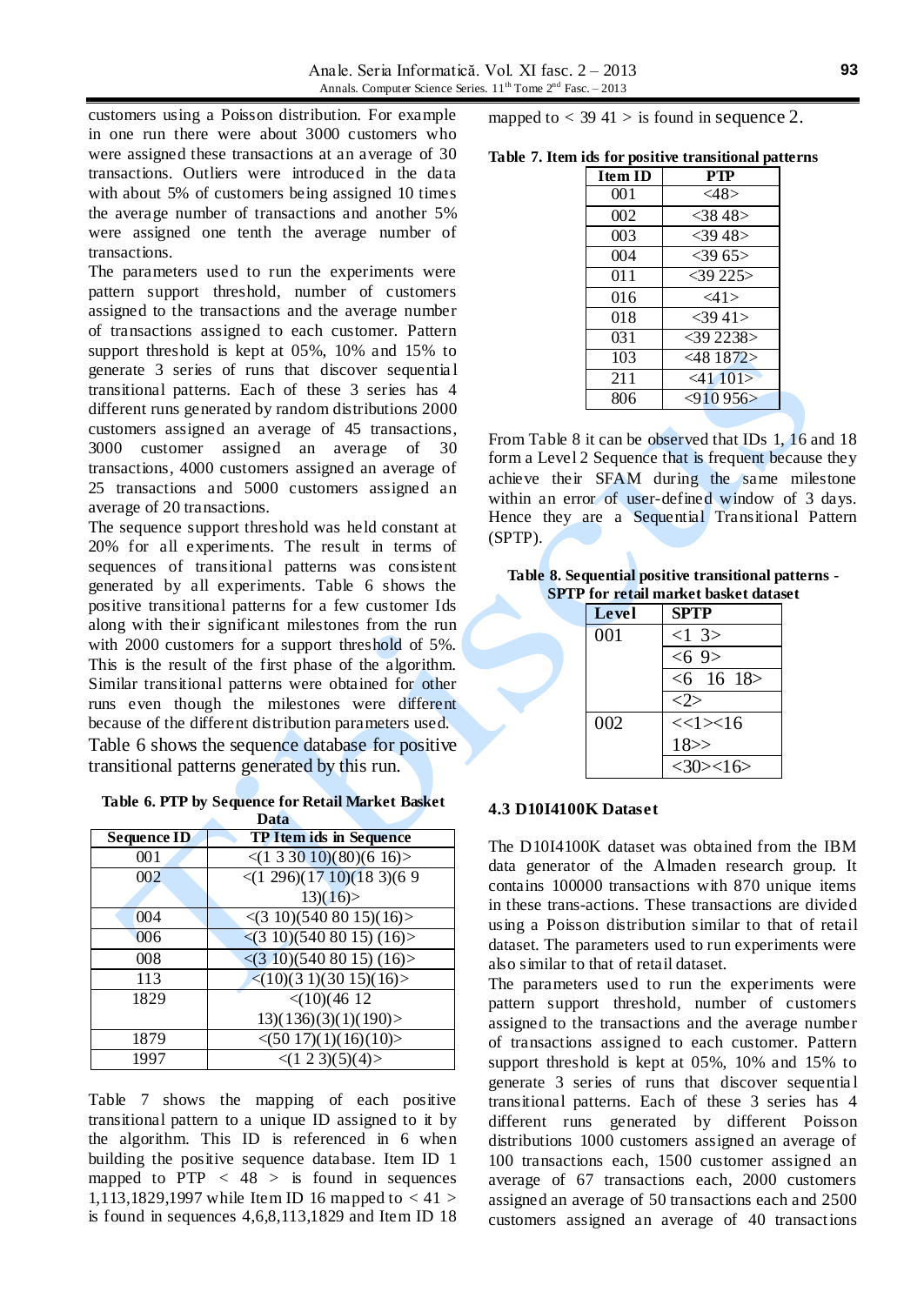customers using a Poisson distribution. For example in one run there were about 3000 customers who were assigned these transactions at an average of 30 transactions. Outliers were introduced in the data with about 5% of customers being assigned 10 times the average number of transactions and another 5% were assigned one tenth the average number of transactions.

The parameters used to run the experiments were pattern support threshold, number of customers assigned to the transactions and the average number of transactions assigned to each customer. Pattern support threshold is kept at 05%, 10% and 15% to generate 3 series of runs that discover sequentia l transitional patterns. Each of these 3 series has 4 different runs generated by random distributions 2000 customers assigned an average of 45 transactions, 3000 customer assigned an average of 30 transactions, 4000 customers assigned an average of 25 transactions and 5000 customers assigned an average of 20 transactions.

The sequence support threshold was held constant at 20% for all experiments. The result in terms of sequences of transitional patterns was consistent generated by all experiments. Table 6 shows the positive transitional patterns for a few customer Ids along with their significant milestones from the run with 2000 customers for a support threshold of 5%. This is the result of the first phase of the algorithm. Similar transitional patterns were obtained for other runs even though the milestones were different because of the different distribution parameters used. Table 6 shows the sequence database for positive transitional patterns generated by this run.

**Table 6. PTP by Sequence for Retail Market Basket Data**

|                    | vaca                                       |
|--------------------|--------------------------------------------|
| <b>Sequence ID</b> | <b>TP Item ids in Sequence</b>             |
| 001                | $\leq$ (1 3 30 10)(80)(6 16)>              |
| 002                | $\leq$ (1 296)(17 10)(18 3)(6 9            |
|                    | 13(16)                                     |
| 004                | $\langle (3\ 10)(540\ 80\ 15)(16) \rangle$ |
| 006                | $\leq$ (3 10)(540 80 15)(16)>              |
| 008                | $\leq$ (3 10)(540 80 15)(16)>              |
| 113                | $\langle (10)(3\ 1)(30\ 15)(16) \rangle$   |
| 1829               | $<$ (10)(46 12                             |
|                    | 13(136)(3)(1)(190)                         |
| 1879               | $\langle (5017)(1)(16)(10) \rangle$        |
| 1997               | $\langle (1\ 2\ 3)(5)(4) \rangle$          |

Table 7 shows the mapping of each positive transitional pattern to a unique ID assigned to it by the algorithm. This ID is referenced in 6 when building the positive sequence database. Item ID 1 mapped to PTP *<* 48 *>* is found in sequences 1,113,1829,1997 while Item ID 16 mapped to *<* 41 *>* is found in sequences 4,6,8,113,1829 and Item ID 18 mapped to  $<$  39 41  $>$  is found in sequence 2.

| Table 7. Item ids for positive transitional patterns |  |  |  |  |  |  |  |
|------------------------------------------------------|--|--|--|--|--|--|--|
|------------------------------------------------------|--|--|--|--|--|--|--|

| <b>Item ID</b> | PTP            |
|----------------|----------------|
| 001            | $<$ 48>        |
| 002            | $<$ 38.48 $>$  |
| 003            | $<$ 39 48>     |
| 004            | <3965>         |
| 011            | $<$ 39 225>    |
| 016            | $<$ 41>        |
| 018            | $<$ 3941>      |
| 031            | $<$ 39 2238 >  |
| 103            | $<$ 48 1872 >  |
| 211            | $<$ 41 101 $>$ |
| 806            | $<$ 910 956>   |

From Table 8 it can be observed that IDs 1, 16 and 18 form a Level 2 Sequence that is frequent because they achieve their SFAM during the same milestone within an error of user-defined window of 3 days. Hence they are a Sequential Transitional Pattern (SPTP).

**Table 8. Sequential positive transitional patterns - SPTP for retail market basket dataset**

| <b>Level</b> | <b>SPTP</b>     |
|--------------|-----------------|
| 001          | <13>            |
|              | $<6$ 9>         |
|              | $<6$ 16 18>     |
|              |                 |
| 002          | $<<1>\times 16$ |
|              | 18 >            |
|              | $<$ 30> $<$ 16> |

#### **4.3 D10I4100K Dataset**

The D10I4100K dataset was obtained from the IBM data generator of the Almaden research group. It contains 100000 transactions with 870 unique items in these trans-actions. These transactions are divided using a Poisson distribution similar to that of retail dataset. The parameters used to run experiments were also similar to that of retail dataset.

The parameters used to run the experiments were pattern support threshold, number of customers assigned to the transactions and the average number of transactions assigned to each customer. Pattern support threshold is kept at 05%, 10% and 15% to generate 3 series of runs that discover sequentia l transitional patterns. Each of these 3 series has 4 different runs generated by different Poisson distributions 1000 customers assigned an average of 100 transactions each, 1500 customer assigned an average of 67 transactions each, 2000 customers assigned an average of 50 transactions each and 2500 customers assigned an average of 40 transactions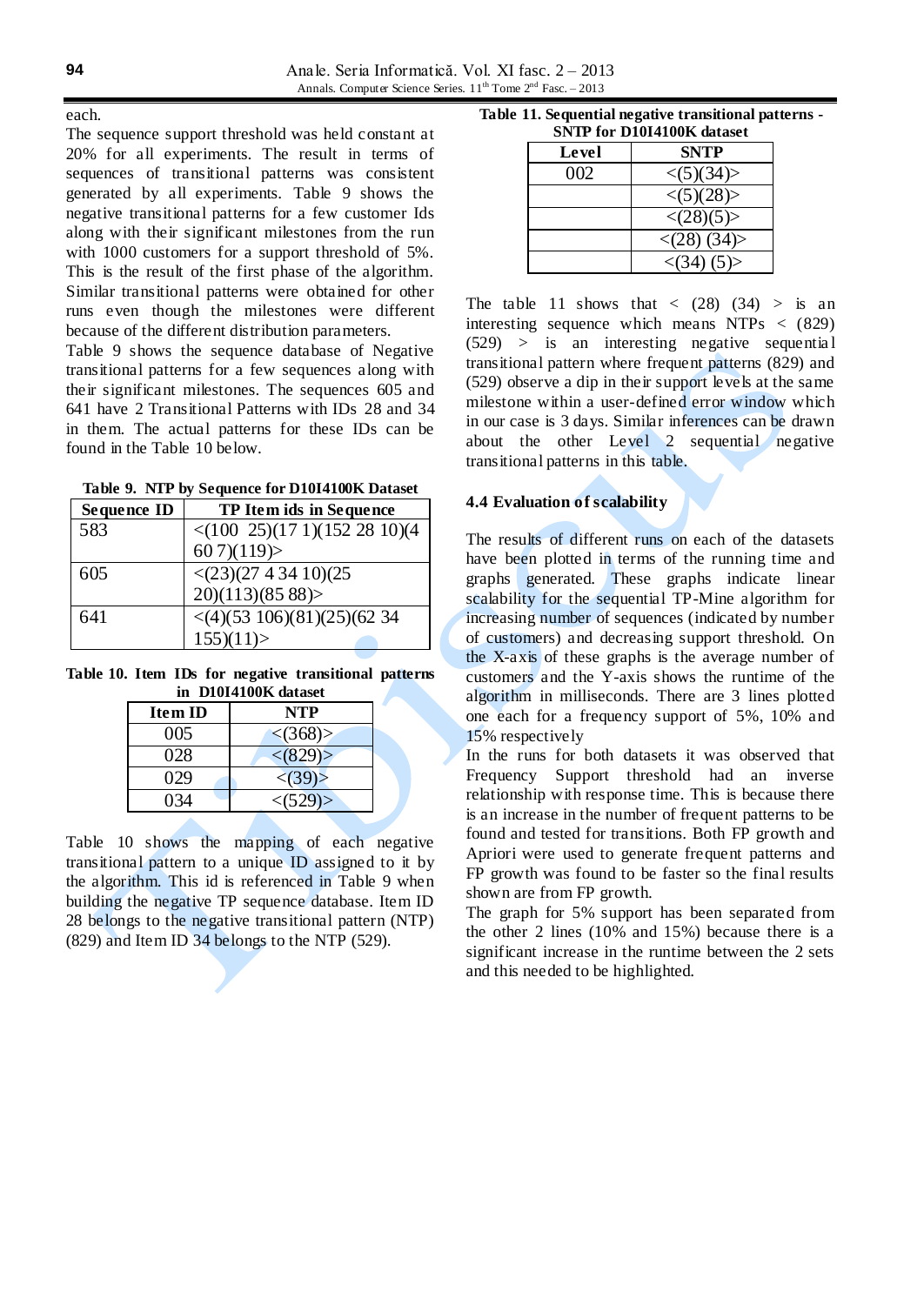each.

The sequence support threshold was held constant at 20% for all experiments. The result in terms of sequences of transitional patterns was consistent generated by all experiments. Table 9 shows the negative transitional patterns for a few customer Ids along with their significant milestones from the run with 1000 customers for a support threshold of 5%. This is the result of the first phase of the algorithm. Similar transitional patterns were obtained for other runs even though the milestones were different because of the different distribution parameters.

Table 9 shows the sequence database of Negative transitional patterns for a few sequences along with their significant milestones. The sequences 605 and 641 have 2 Transitional Patterns with IDs 28 and 34 in them. The actual patterns for these IDs can be found in the Table 10 below.

**Table 9. NTP by Sequence for D10I4100K Dataset**

| Sequence ID | <b>TP Item ids in Sequence</b>                        |
|-------------|-------------------------------------------------------|
| 583         | $\langle (100 \t25)(171)(152 \t28 \t10)(4$            |
|             | 607(119)                                              |
| 605         |                                                       |
|             | $\langle (23)(27\ 4\ 34\ 10)(25)$<br>20)(113)(85 88)> |
| 641         | $\langle (4)(53 \ 106)(81)(25)(62 \ 34)$              |
|             | 155(11)                                               |

**Table 10. Item IDs for negative transitional patterns in D10I4100K dataset**

| <b>Item ID</b> | NTP                     |
|----------------|-------------------------|
| 005            | $\langle (368) \rangle$ |
| 028            | < (829)                 |
| 029            | < (39)                  |
| 034            | $<$ (529)>              |

Table 10 shows the mapping of each negative transitional pattern to a unique ID assigned to it by the algorithm. This id is referenced in Table 9 when building the negative TP sequence database. Item ID 28 belongs to the negative transitional pattern (NTP) (829) and Item ID 34 belongs to the NTP (529).

**Table 11. Sequential negative transitional patterns -**

| <b>SNTP for D10I4100K dataset</b> |                           |
|-----------------------------------|---------------------------|
| Level                             | <b>SNTP</b>               |
| 002                               | $\langle (5)(34) \rangle$ |
|                                   | $\langle (5)(28) \rangle$ |
|                                   | $\langle (28)(5) \rangle$ |
|                                   | $\langle 28 \rangle (34)$ |
|                                   | $\langle 34 \rangle (5)$  |

The table 11 shows that  $\langle$  (28) (34)  $>$  is an interesting sequence which means NTPs *<* (829) (529) *>* is an interesting negative sequentia l transitional pattern where frequent patterns (829) and (529) observe a dip in their support levels at the same milestone within a user-defined error window which in our case is 3 days. Similar inferences can be drawn about the other Level 2 sequential negative transitional patterns in this table.

# **4.4 Evaluation of scalability**

The results of different runs on each of the datasets have been plotted in terms of the running time and graphs generated. These graphs indicate linear scalability for the sequential TP-Mine algorithm for increasing number of sequences (indicated by number of customers) and decreasing support threshold. On the X-axis of these graphs is the average number of customers and the Y-axis shows the runtime of the algorithm in milliseconds. There are 3 lines plotted one each for a frequency support of 5%, 10% and 15% respectively

In the runs for both datasets it was observed that Frequency Support threshold had an inverse relationship with response time. This is because there is an increase in the number of frequent patterns to be found and tested for transitions. Both FP growth and Apriori were used to generate frequent patterns and FP growth was found to be faster so the final results shown are from FP growth.

The graph for 5% support has been separated from the other 2 lines (10% and 15%) because there is a significant increase in the runtime between the 2 sets and this needed to be highlighted.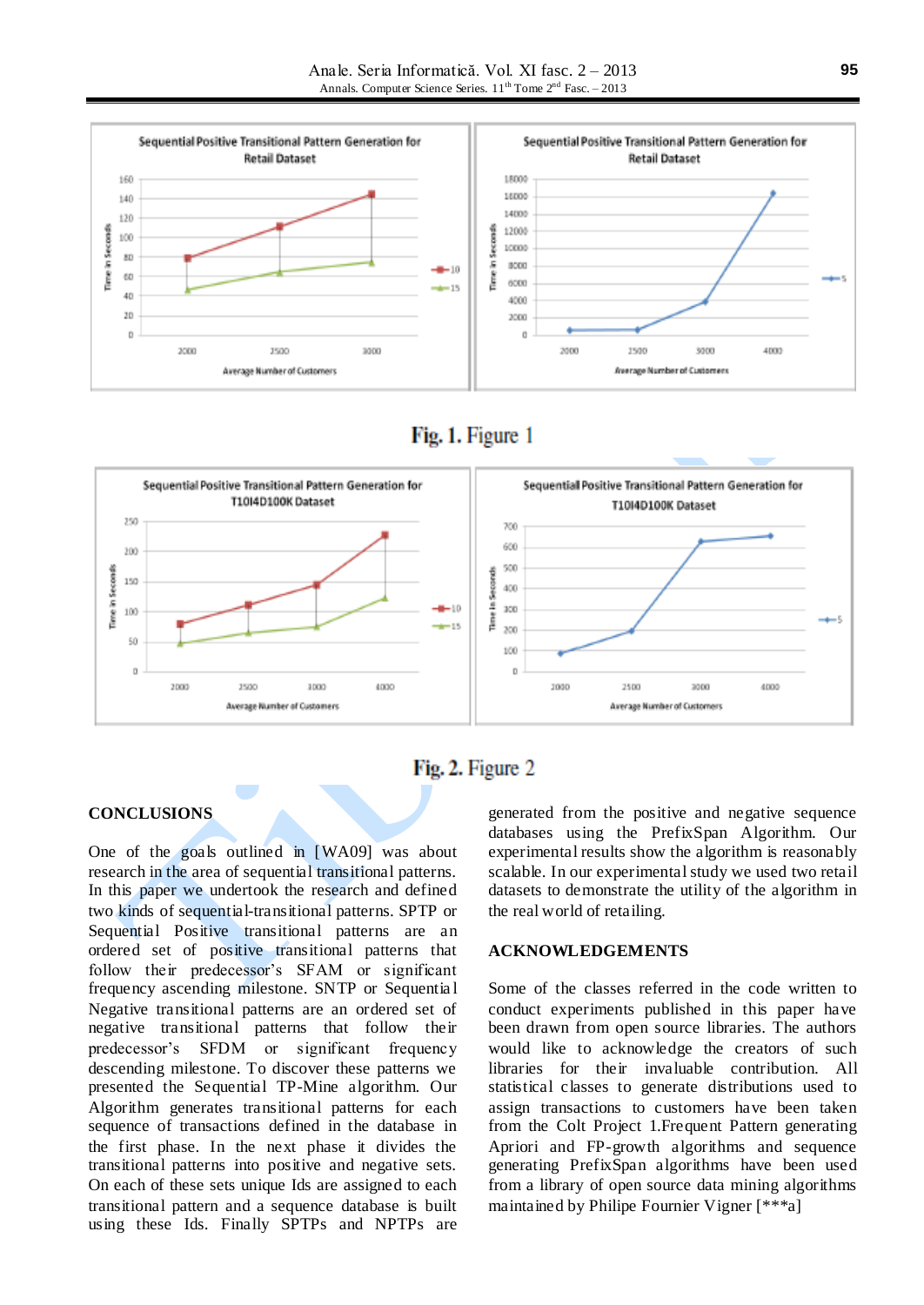





# Fig. 2. Figure 2

# **CONCLUSIONS**

One of the goals outlined in [WA09] was about research in the area of sequential transitional patterns. In this paper we undertook the research and defined two kinds of sequential-transitional patterns. SPTP or Sequential Positive transitional patterns are an ordered set of positive transitional patterns that follow their predecessor's SFAM or significant frequency ascending milestone. SNTP or Sequentia l Negative transitional patterns are an ordered set of negative transitional patterns that follow their predecessor's SFDM or significant frequency descending milestone. To discover these patterns we presented the Sequential TP-Mine algorithm. Our Algorithm generates transitional patterns for each sequence of transactions defined in the database in the first phase. In the next phase it divides the transitional patterns into positive and negative sets. On each of these sets unique Ids are assigned to each transitional pattern and a sequence database is built using these Ids. Finally SPTPs and NPTPs are

generated from the positive and negative sequence databases using the PrefixSpan Algorithm. Our experimental results show the algorithm is reasonably scalable. In our experimental study we used two retail datasets to demonstrate the utility of the algorithm in the real world of retailing.

### **ACKNOWLEDGEMENTS**

Some of the classes referred in the code written to conduct experiments published in this paper have been drawn from open source libraries. The authors would like to acknowledge the creators of such libraries for their invaluable contribution. All statistical classes to generate distributions used to assign transactions to customers have been taken from the Colt Project 1.Frequent Pattern generating Apriori and FP-growth algorithms and sequence generating PrefixSpan algorithms have been used from a library of open source data mining algorithms maintained by Philipe Fournier Vigner [\*\*\*a]